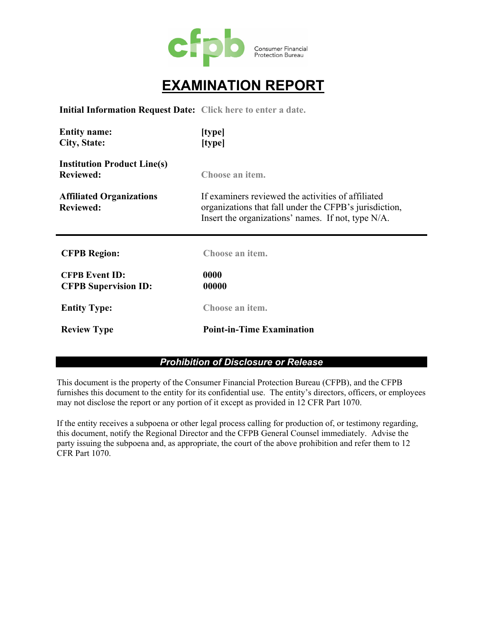

# **EXAMINATION REPORT**

**Initial Information Request Date: Click here to enter a date.**

| <b>Entity name:</b><br>City, State:                    | [type]<br>[type]                                                                                                                                                   |
|--------------------------------------------------------|--------------------------------------------------------------------------------------------------------------------------------------------------------------------|
| <b>Institution Product Line(s)</b><br><b>Reviewed:</b> | Choose an item.                                                                                                                                                    |
| <b>Affiliated Organizations</b><br><b>Reviewed:</b>    | If examiners reviewed the activities of affiliated<br>organizations that fall under the CFPB's jurisdiction,<br>Insert the organizations' names. If not, type N/A. |
| <b>CFPB Region:</b>                                    | Choose an item.                                                                                                                                                    |
| <b>CFPB Event ID:</b><br><b>CFPB Supervision ID:</b>   | 0000<br>00000                                                                                                                                                      |
| <b>Entity Type:</b>                                    | Choose an item.                                                                                                                                                    |
| <b>Review Type</b>                                     | <b>Point-in-Time Examination</b>                                                                                                                                   |

#### *Prohibition of Disclosure or Release*

This document is the property of the Consumer Financial Protection Bureau (CFPB), and the CFPB furnishes this document to the entity for its confidential use. The entity's directors, officers, or employees may not disclose the report or any portion of it except as provided in 12 CFR Part 1070.

If the entity receives a subpoena or other legal process calling for production of, or testimony regarding, this document, notify the Regional Director and the CFPB General Counsel immediately. Advise the party issuing the subpoena and, as appropriate, the court of the above prohibition and refer them to 12 CFR Part 1070.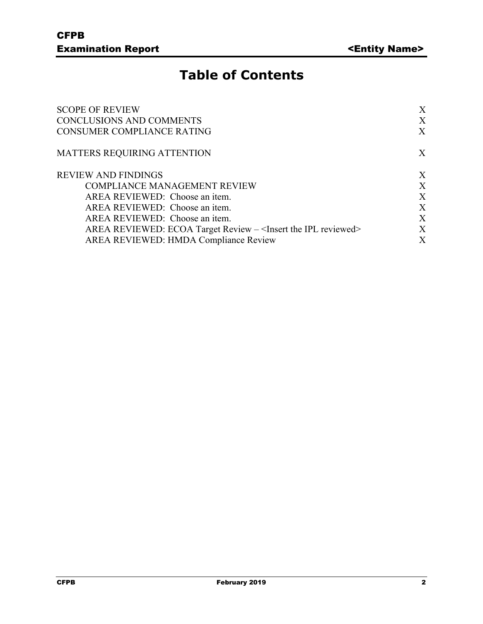# **Table of Contents**

| <b>SCOPE OF REVIEW</b>                                                          | X |
|---------------------------------------------------------------------------------|---|
| <b>CONCLUSIONS AND COMMENTS</b><br><b>CONSUMER COMPLIANCE RATING</b>            |   |
|                                                                                 |   |
| <b>REVIEW AND FINDINGS</b>                                                      | X |
| <b>COMPLIANCE MANAGEMENT REVIEW</b>                                             | X |
| AREA REVIEWED: Choose an item.                                                  | X |
| AREA REVIEWED: Choose an item.                                                  | X |
| AREA REVIEWED: Choose an item.                                                  | X |
| AREA REVIEWED: ECOA Target Review - <insert ipl="" reviewed="" the=""></insert> | X |
| AREA REVIEWED: HMDA Compliance Review                                           | X |
|                                                                                 |   |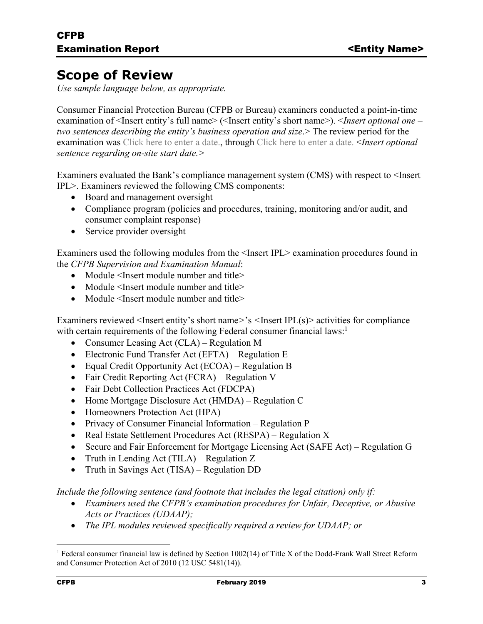### **Scope of Review**

*Use sample language below, as appropriate.* 

Consumer Financial Protection Bureau (CFPB or Bureau) examiners conducted a point-in-time examination of <Insert entity's full name> (<Insert entity's short name>). <*Insert optional one – two sentences describing the entity's business operation and size*.> The review period for the examination was Click here to enter a date., through Click here to enter a date. <*Insert optional sentence regarding on-site start date.>*

Examiners evaluated the Bank's compliance management system (CMS) with respect to <Insert IPL>. Examiners reviewed the following CMS components:

- Board and management oversight
- Compliance program (policies and procedures, training, monitoring and/or audit, and consumer complaint response)
- Service provider oversight

Examiners used the following modules from the <Insert IPL> examination procedures found in the *CFPB Supervision and Examination Manual*:

- Module <Insert module number and title>
- Module <Insert module number and title>
- Module <Insert module number and title>

Examiners reviewed <Insert entity's short name*>*'s *<*Insert IPL(s)> activities for compliance with certain requirements of the following Federal consumer financial laws:<sup>1</sup>

- Consumer Leasing Act (CLA) Regulation M
- Electronic Fund Transfer Act (EFTA) Regulation E
- Equal Credit Opportunity Act (ECOA) Regulation B
- Fair Credit Reporting Act (FCRA) Regulation V
- Fair Debt Collection Practices Act (FDCPA)
- Home Mortgage Disclosure Act (HMDA) Regulation C
- Homeowners Protection Act (HPA)
- Privacy of Consumer Financial Information Regulation P
- Real Estate Settlement Procedures Act (RESPA) Regulation X
- Secure and Fair Enforcement for Mortgage Licensing Act (SAFE Act) Regulation G
- Truth in Lending Act  $(TILA)$  Regulation Z
- Truth in Savings Act (TISA) Regulation DD

*Include the following sentence (and footnote that includes the legal citation) only if:*

- *Examiners used the CFPB's examination procedures for Unfair, Deceptive, or Abusive Acts or Practices (UDAAP);*
- *The IPL modules reviewed specifically required a review for UDAAP; or*

1

<sup>&</sup>lt;sup>1</sup> Federal consumer financial law is defined by Section 1002(14) of Title X of the Dodd-Frank Wall Street Reform and Consumer Protection Act of 2010 (12 USC 5481(14)).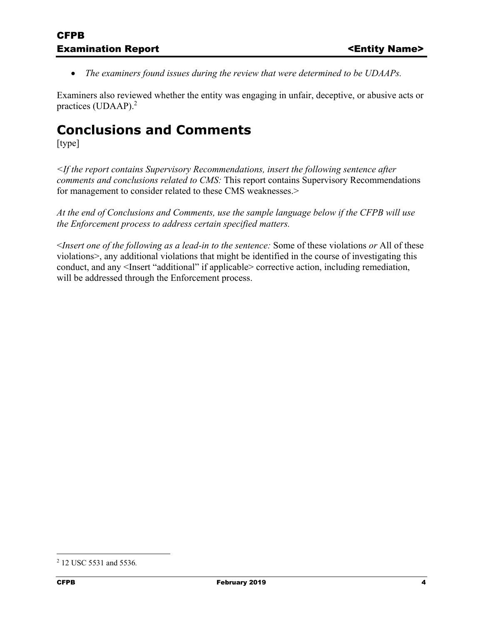*The examiners found issues during the review that were determined to be UDAAPs.* 

Examiners also reviewed whether the entity was engaging in unfair, deceptive, or abusive acts or practices (UDAAP).2

### **Conclusions and Comments**

[type]

*<If the report contains Supervisory Recommendations, insert the following sentence after comments and conclusions related to CMS:* This report contains Supervisory Recommendations for management to consider related to these CMS weaknesses.>

*At the end of Conclusions and Comments, use the sample language below if the CFPB will use the Enforcement process to address certain specified matters.* 

<*Insert one of the following as a lead-in to the sentence:* Some of these violations *or* All of these violations>, any additional violations that might be identified in the course of investigating this conduct, and any <Insert "additional" if applicable> corrective action, including remediation, will be addressed through the Enforcement process.

 $\overline{a}$ 

<sup>2</sup> 12 USC 5531 and 5536*.*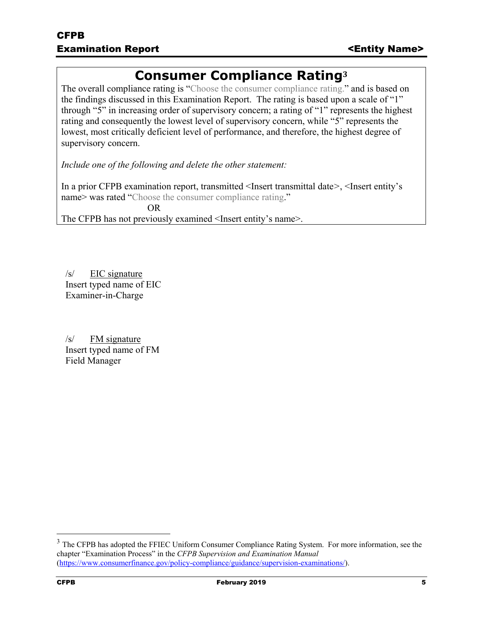### **Consumer Compliance Rating<sup>3</sup>**

The overall compliance rating is "Choose the consumer compliance rating." and is based on the findings discussed in this Examination Report. The rating is based upon a scale of "1" through "5" in increasing order of supervisory concern; a rating of "1" represents the highest rating and consequently the lowest level of supervisory concern, while "5" represents the lowest, most critically deficient level of performance, and therefore, the highest degree of supervisory concern.

*Include one of the following and delete the other statement:* 

In a prior CFPB examination report, transmitted <Insert transmittal date*>*, <Insert entity's name> was rated "Choose the consumer compliance rating."

 OR The CFPB has not previously examined <Insert entity's name>.

/s/ EIC signature Insert typed name of EIC Examiner-in-Charge

/s/ FM signature Insert typed name of FM Field Manager

 $\overline{a}$ 

<sup>&</sup>lt;sup>3</sup> The CFPB has adopted the FFIEC Uniform Consumer Compliance Rating System. For more information, see the chapter "Examination Process" in the *CFPB Supervision and Examination Manual* (https://www.consumerfinance.gov/policy-compliance/guidance/supervision-examinations/).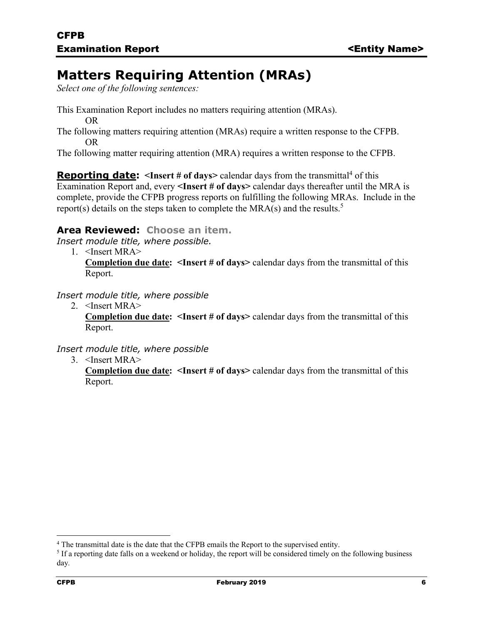## **Matters Requiring Attention (MRAs)**

*Select one of the following sentences:* 

- This Examination Report includes no matters requiring attention (MRAs). OR
- The following matters requiring attention (MRAs) require a written response to the CFPB. OR

The following matter requiring attention (MRA) requires a written response to the CFPB.

**Reporting date:** <Insert # of days> calendar days from the transmittal<sup>4</sup> of this Examination Report and, every **<Insert # of days***>* calendar days thereafter until the MRA is complete, provide the CFPB progress reports on fulfilling the following MRAs. Include in the report(s) details on the steps taken to complete the MRA(s) and the results.<sup>5</sup>

### **Area Reviewed: Choose an item.**

*Insert module title, where possible.* 

1. <Insert MRA> **Completion due date: <Insert # of days>** calendar days from the transmittal of this Report.

#### *Insert module title, where possible*

2. <Insert MRA> **Completion due date: <Insert # of days>** calendar days from the transmittal of this Report.

### *Insert module title, where possible*

3. <Insert MRA>

**Completion due date: <Insert # of days>** calendar days from the transmittal of this Report.

 $\overline{a}$ 

<sup>&</sup>lt;sup>4</sup> The transmittal date is the date that the CFPB emails the Report to the supervised entity.<br><sup>5</sup> If a reporting date falls on a weekend or holiday, the report will be considered timely on

 $<sup>5</sup>$  If a reporting date falls on a weekend or holiday, the report will be considered timely on the following business</sup> day*.*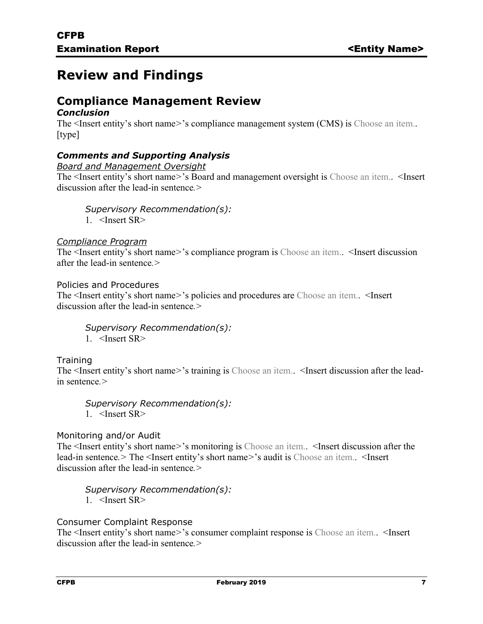## **Review and Findings**

### **Compliance Management Review**  *Conclusion*

The <Insert entity's short name*>*'s compliance management system (CMS) is Choose an item.. [type]

### *Comments and Supporting Analysis*

*Board and Management Oversight* 

The <Insert entity's short name*>*'s Board and management oversight is Choose an item.. <Insert discussion after the lead-in sentence*.>* 

*Supervisory Recommendation(s):* 

1. <Insert SR>

#### *Compliance Program*

The <Insert entity's short name*>*'s compliance program is Choose an item.. <Insert discussion after the lead-in sentence*.>* 

Policies and Procedures

The <Insert entity's short name*>*'s policies and procedures are Choose an item.. <Insert discussion after the lead-in sentence*.>* 

*Supervisory Recommendation(s):* 

1. <Insert SR>

### **Training**

The <Insert entity's short name*>*'s training is Choose an item.. <Insert discussion after the leadin sentence*.>* 

*Supervisory Recommendation(s):*  1. <Insert SR>

#### Monitoring and/or Audit

The <Insert entity's short name*>*'s monitoring is Choose an item.. <Insert discussion after the lead-in sentence*.>* The <Insert entity's short name*>*'s audit is Choose an item.. <Insert discussion after the lead-in sentence*.>* 

*Supervisory Recommendation(s):*  1. <Insert SR>

Consumer Complaint Response

The <Insert entity's short name*>*'s consumer complaint response is Choose an item.. <Insert discussion after the lead-in sentence*.>*